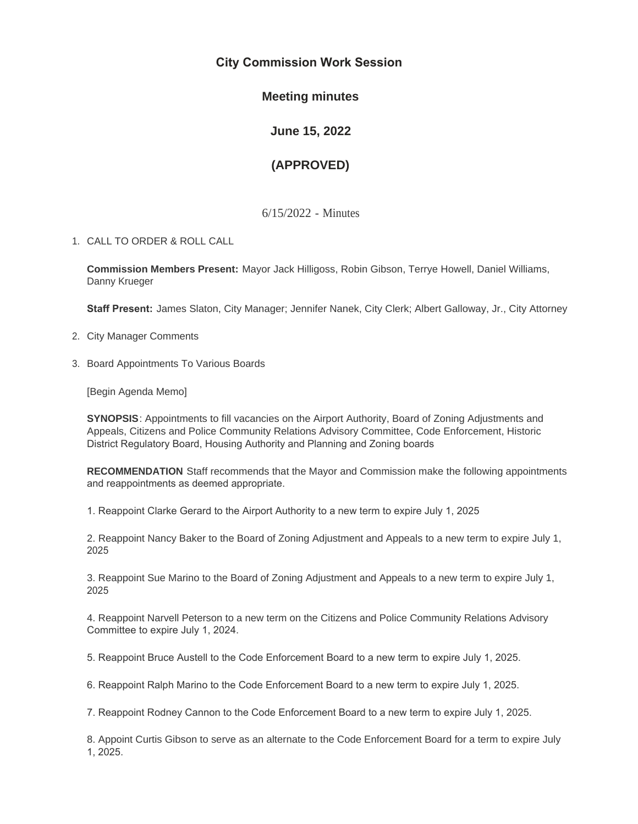# **City Commission Work Session**

## **Meeting minutes**

**June 15, 2022**

# **(APPROVED)**

6/15/2022 - Minutes

CALL TO ORDER & ROLL CALL 1.

**Commission Members Present:** Mayor Jack Hilligoss, Robin Gibson, Terrye Howell, Daniel Williams, Danny Krueger

**Staff Present:** James Slaton, City Manager; Jennifer Nanek, City Clerk; Albert Galloway, Jr., City Attorney

- 2. City Manager Comments
- 3. Board Appointments To Various Boards

[Begin Agenda Memo]

**SYNOPSIS**: Appointments to fill vacancies on the Airport Authority, Board of Zoning Adjustments and Appeals, Citizens and Police Community Relations Advisory Committee, Code Enforcement, Historic District Regulatory Board, Housing Authority and Planning and Zoning boards

**RECOMMENDATION** Staff recommends that the Mayor and Commission make the following appointments and reappointments as deemed appropriate.

1. Reappoint Clarke Gerard to the Airport Authority to a new term to expire July 1, 2025

2. Reappoint Nancy Baker to the Board of Zoning Adjustment and Appeals to a new term to expire July 1, 2025

3. Reappoint Sue Marino to the Board of Zoning Adjustment and Appeals to a new term to expire July 1, 2025

4. Reappoint Narvell Peterson to a new term on the Citizens and Police Community Relations Advisory Committee to expire July 1, 2024.

5. Reappoint Bruce Austell to the Code Enforcement Board to a new term to expire July 1, 2025.

6. Reappoint Ralph Marino to the Code Enforcement Board to a new term to expire July 1, 2025.

7. Reappoint Rodney Cannon to the Code Enforcement Board to a new term to expire July 1, 2025.

8. Appoint Curtis Gibson to serve as an alternate to the Code Enforcement Board for a term to expire July 1, 2025.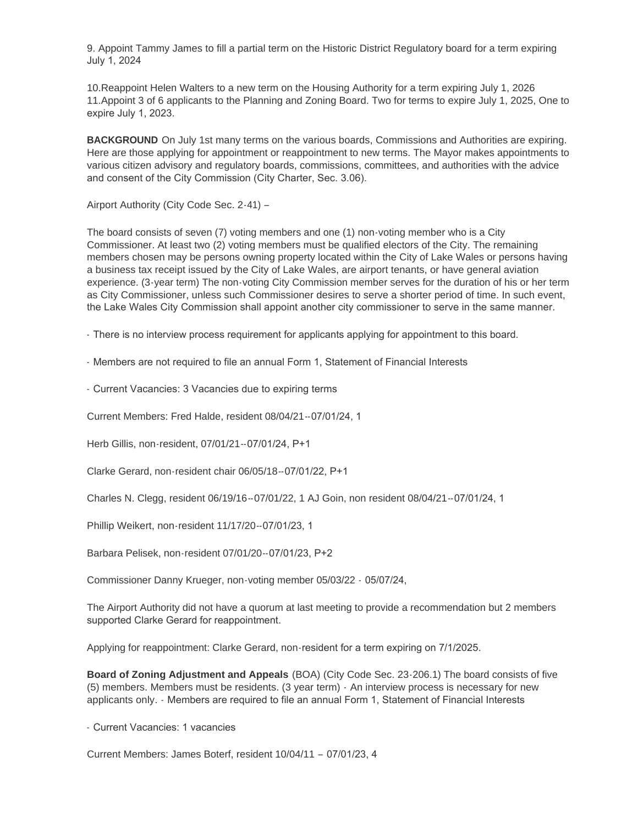9. Appoint Tammy James to fill a partial term on the Historic District Regulatory board for a term expiring July 1, 2024

10.Reappoint Helen Walters to a new term on the Housing Authority for a term expiring July 1, 2026 11.Appoint 3 of 6 applicants to the Planning and Zoning Board. Two for terms to expire July 1, 2025, One to expire July 1, 2023.

**BACKGROUND** On July 1st many terms on the various boards, Commissions and Authorities are expiring. Here are those applying for appointment or reappointment to new terms. The Mayor makes appointments to various citizen advisory and regulatory boards, commissions, committees, and authorities with the advice and consent of the City Commission (City Charter, Sec. 3.06).

Airport Authority (City Code Sec. 2-41) –

The board consists of seven (7) voting members and one (1) non-voting member who is a City Commissioner. At least two (2) voting members must be qualified electors of the City. The remaining members chosen may be persons owning property located within the City of Lake Wales or persons having a business tax receipt issued by the City of Lake Wales, are airport tenants, or have general aviation experience. (3-year term) The non-voting City Commission member serves for the duration of his or her term as City Commissioner, unless such Commissioner desires to serve a shorter period of time. In such event, the Lake Wales City Commission shall appoint another city commissioner to serve in the same manner.

- There is no interview process requirement for applicants applying for appointment to this board.

- Members are not required to file an annual Form 1, Statement of Financial Interests

- Current Vacancies: 3 Vacancies due to expiring terms

Current Members: Fred Halde, resident 08/04/21--07/01/24, 1

Herb Gillis, non-resident, 07/01/21--07/01/24, P+1

Clarke Gerard, non-resident chair 06/05/18--07/01/22, P+1

Charles N. Clegg, resident 06/19/16--07/01/22, 1 AJ Goin, non resident 08/04/21--07/01/24, 1

Phillip Weikert, non-resident 11/17/20--07/01/23, 1

Barbara Pelisek, non-resident 07/01/20--07/01/23, P+2

Commissioner Danny Krueger, non-voting member 05/03/22 - 05/07/24,

The Airport Authority did not have a quorum at last meeting to provide a recommendation but 2 members supported Clarke Gerard for reappointment.

Applying for reappointment: Clarke Gerard, non-resident for a term expiring on 7/1/2025.

**Board of Zoning Adjustment and Appeals** (BOA) (City Code Sec. 23-206.1) The board consists of five (5) members. Members must be residents. (3 year term) - An interview process is necessary for new applicants only. - Members are required to file an annual Form 1, Statement of Financial Interests

- Current Vacancies: 1 vacancies

Current Members: James Boterf, resident 10/04/11 – 07/01/23, 4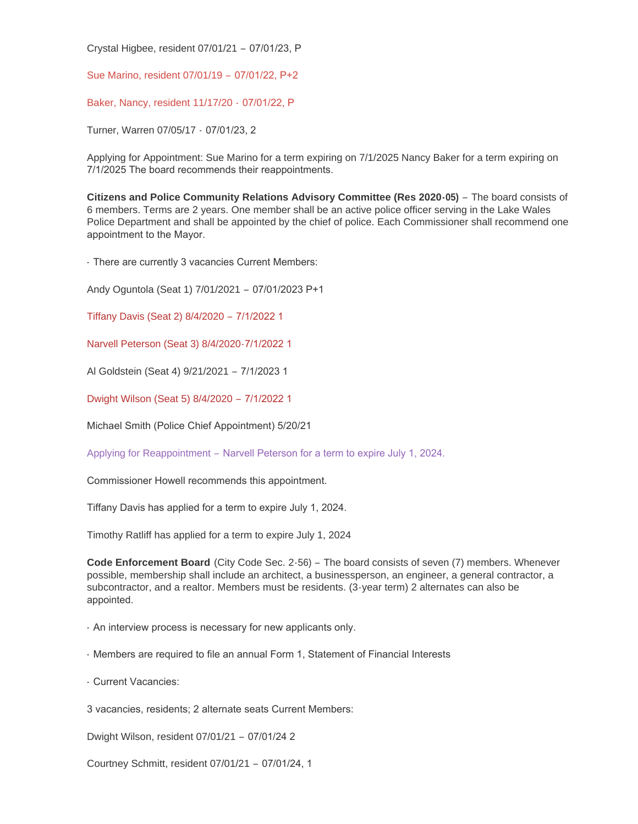Crystal Higbee, resident 07/01/21 – 07/01/23, P

Sue Marino, resident 07/01/19 – 07/01/22, P+2

Baker, Nancy, resident 11/17/20 - 07/01/22, P

Turner, Warren 07/05/17 - 07/01/23, 2

Applying for Appointment: Sue Marino for a term expiring on 7/1/2025 Nancy Baker for a term expiring on 7/1/2025 The board recommends their reappointments.

**Citizens and Police Community Relations Advisory Committee (Res 2020-05)** – The board consists of 6 members. Terms are 2 years. One member shall be an active police officer serving in the Lake Wales Police Department and shall be appointed by the chief of police. Each Commissioner shall recommend one appointment to the Mayor.

- There are currently 3 vacancies Current Members:

Andy Oguntola (Seat 1) 7/01/2021 – 07/01/2023 P+1

Tiffany Davis (Seat 2) 8/4/2020 – 7/1/2022 1

Narvell Peterson (Seat 3) 8/4/2020-7/1/2022 1

Al Goldstein (Seat 4) 9/21/2021 – 7/1/2023 1

Dwight Wilson (Seat 5) 8/4/2020 – 7/1/2022 1

Michael Smith (Police Chief Appointment) 5/20/21

Applying for Reappointment – Narvell Peterson for a term to expire July 1, 2024.

Commissioner Howell recommends this appointment.

Tiffany Davis has applied for a term to expire July 1, 2024.

Timothy Ratliff has applied for a term to expire July 1, 2024

**Code Enforcement Board** (City Code Sec. 2-56) – The board consists of seven (7) members. Whenever possible, membership shall include an architect, a businessperson, an engineer, a general contractor, a subcontractor, and a realtor. Members must be residents. (3-year term) 2 alternates can also be appointed.

- An interview process is necessary for new applicants only.

- Members are required to file an annual Form 1, Statement of Financial Interests

- Current Vacancies:

3 vacancies, residents; 2 alternate seats Current Members:

Dwight Wilson, resident 07/01/21 – 07/01/24 2

Courtney Schmitt, resident 07/01/21 – 07/01/24, 1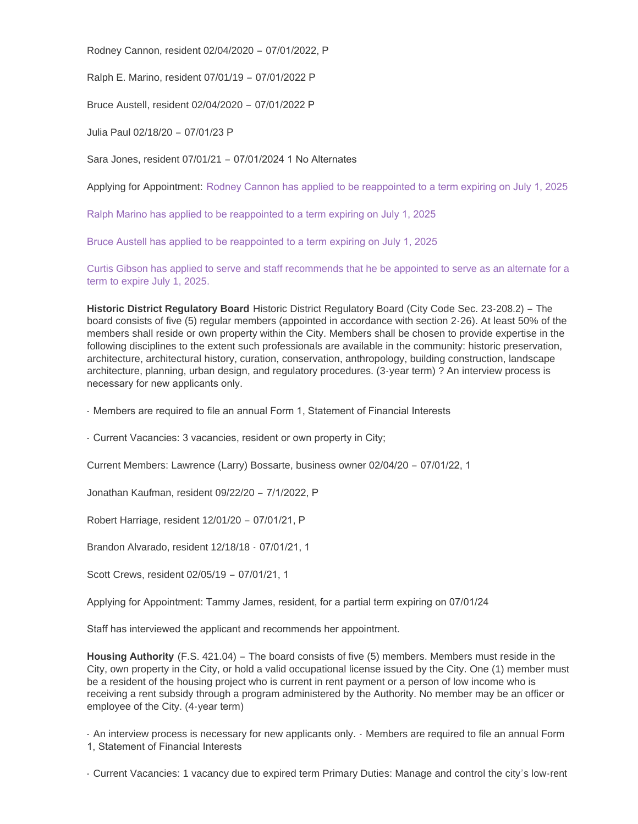Rodney Cannon, resident 02/04/2020 – 07/01/2022, P

Ralph E. Marino, resident 07/01/19 – 07/01/2022 P

Bruce Austell, resident 02/04/2020 – 07/01/2022 P

Julia Paul 02/18/20 – 07/01/23 P

Sara Jones, resident 07/01/21 – 07/01/2024 1 No Alternates

Applying for Appointment: Rodney Cannon has applied to be reappointed to a term expiring on July 1, 2025

Ralph Marino has applied to be reappointed to a term expiring on July 1, 2025

Bruce Austell has applied to be reappointed to a term expiring on July 1, 2025

Curtis Gibson has applied to serve and staff recommends that he be appointed to serve as an alternate for a term to expire July 1, 2025.

**Historic District Regulatory Board** Historic District Regulatory Board (City Code Sec. 23-208.2) – The board consists of five (5) regular members (appointed in accordance with section 2-26). At least 50% of the members shall reside or own property within the City. Members shall be chosen to provide expertise in the following disciplines to the extent such professionals are available in the community: historic preservation, architecture, architectural history, curation, conservation, anthropology, building construction, landscape architecture, planning, urban design, and regulatory procedures. (3-year term) ? An interview process is necessary for new applicants only.

- Members are required to file an annual Form 1, Statement of Financial Interests

- Current Vacancies: 3 vacancies, resident or own property in City;

Current Members: Lawrence (Larry) Bossarte, business owner 02/04/20 – 07/01/22, 1

Jonathan Kaufman, resident 09/22/20 – 7/1/2022, P

Robert Harriage, resident 12/01/20 – 07/01/21, P

Brandon Alvarado, resident 12/18/18 - 07/01/21, 1

Scott Crews, resident 02/05/19 – 07/01/21, 1

Applying for Appointment: Tammy James, resident, for a partial term expiring on 07/01/24

Staff has interviewed the applicant and recommends her appointment.

**Housing Authority** (F.S. 421.04) – The board consists of five (5) members. Members must reside in the City, own property in the City, or hold a valid occupational license issued by the City. One (1) member must be a resident of the housing project who is current in rent payment or a person of low income who is receiving a rent subsidy through a program administered by the Authority. No member may be an officer or employee of the City. (4-year term)

- An interview process is necessary for new applicants only. - Members are required to file an annual Form 1, Statement of Financial Interests

- Current Vacancies: 1 vacancy due to expired term Primary Duties: Manage and control the city's low-rent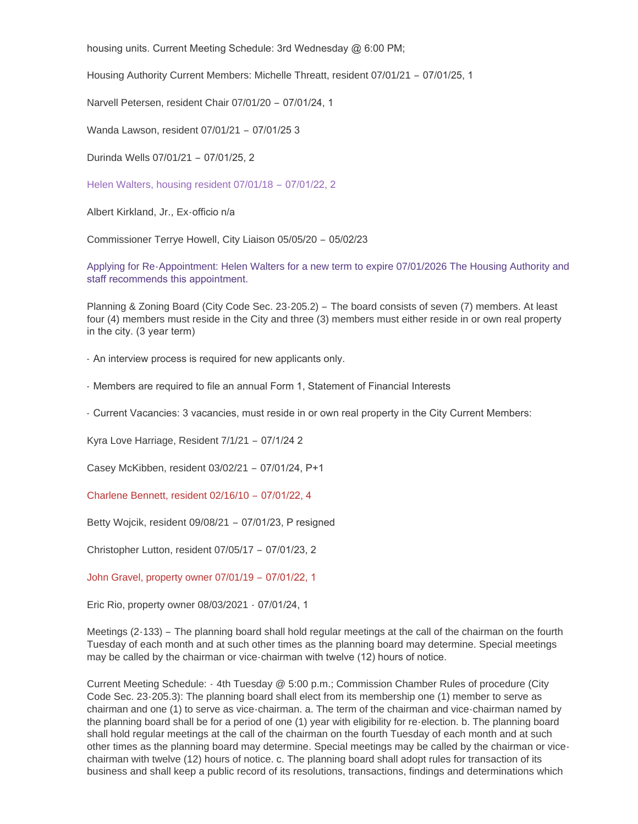housing units. Current Meeting Schedule: 3rd Wednesday @ 6:00 PM;

Housing Authority Current Members: Michelle Threatt, resident 07/01/21 – 07/01/25, 1

Narvell Petersen, resident Chair 07/01/20 – 07/01/24, 1

Wanda Lawson, resident 07/01/21 – 07/01/25 3

Durinda Wells 07/01/21 – 07/01/25, 2

Helen Walters, housing resident 07/01/18 – 07/01/22, 2

Albert Kirkland, Jr., Ex-officio n/a

Commissioner Terrye Howell, City Liaison 05/05/20 – 05/02/23

Applying for Re-Appointment: Helen Walters for a new term to expire 07/01/2026 The Housing Authority and staff recommends this appointment.

Planning & Zoning Board (City Code Sec. 23-205.2) – The board consists of seven (7) members. At least four (4) members must reside in the City and three (3) members must either reside in or own real property in the city. (3 year term)

- An interview process is required for new applicants only.

- Members are required to file an annual Form 1, Statement of Financial Interests

- Current Vacancies: 3 vacancies, must reside in or own real property in the City Current Members:

Kyra Love Harriage, Resident 7/1/21 – 07/1/24 2

Casey McKibben, resident 03/02/21 – 07/01/24, P+1

Charlene Bennett, resident 02/16/10 – 07/01/22, 4

Betty Wojcik, resident 09/08/21 – 07/01/23, P resigned

Christopher Lutton, resident 07/05/17 – 07/01/23, 2

John Gravel, property owner 07/01/19 – 07/01/22, 1

Eric Rio, property owner 08/03/2021 - 07/01/24, 1

Meetings (2-133) – The planning board shall hold regular meetings at the call of the chairman on the fourth Tuesday of each month and at such other times as the planning board may determine. Special meetings may be called by the chairman or vice-chairman with twelve (12) hours of notice.

Current Meeting Schedule: - 4th Tuesday @ 5:00 p.m.; Commission Chamber Rules of procedure (City Code Sec. 23-205.3): The planning board shall elect from its membership one (1) member to serve as chairman and one (1) to serve as vice-chairman. a. The term of the chairman and vice-chairman named by the planning board shall be for a period of one (1) year with eligibility for re-election. b. The planning board shall hold regular meetings at the call of the chairman on the fourth Tuesday of each month and at such other times as the planning board may determine. Special meetings may be called by the chairman or vicechairman with twelve (12) hours of notice. c. The planning board shall adopt rules for transaction of its business and shall keep a public record of its resolutions, transactions, findings and determinations which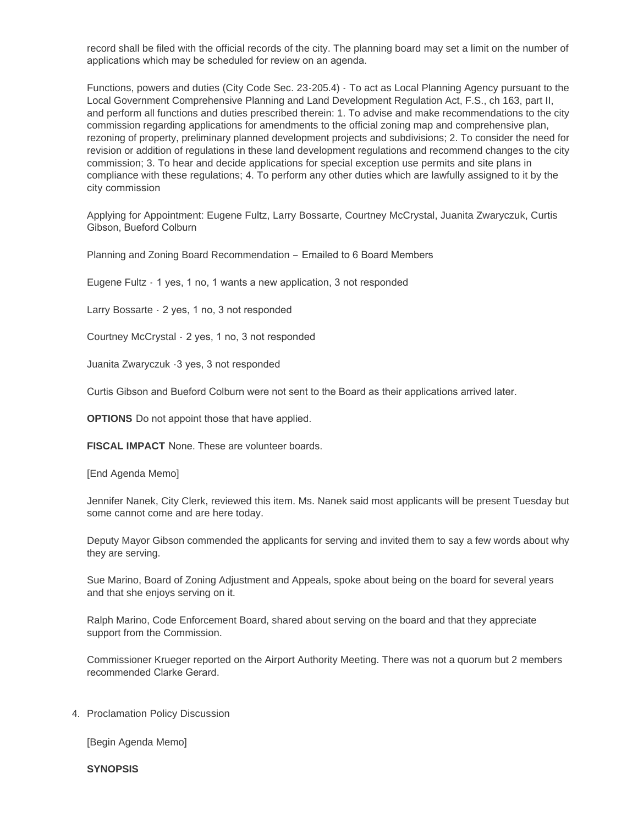record shall be filed with the official records of the city. The planning board may set a limit on the number of applications which may be scheduled for review on an agenda.

Functions, powers and duties (City Code Sec. 23-205.4) - To act as Local Planning Agency pursuant to the Local Government Comprehensive Planning and Land Development Regulation Act, F.S., ch 163, part II, and perform all functions and duties prescribed therein: 1. To advise and make recommendations to the city commission regarding applications for amendments to the official zoning map and comprehensive plan, rezoning of property, preliminary planned development projects and subdivisions; 2. To consider the need for revision or addition of regulations in these land development regulations and recommend changes to the city commission; 3. To hear and decide applications for special exception use permits and site plans in compliance with these regulations; 4. To perform any other duties which are lawfully assigned to it by the city commission

Applying for Appointment: Eugene Fultz, Larry Bossarte, Courtney McCrystal, Juanita Zwaryczuk, Curtis Gibson, Bueford Colburn

Planning and Zoning Board Recommendation – Emailed to 6 Board Members

Eugene Fultz - 1 yes, 1 no, 1 wants a new application, 3 not responded

Larry Bossarte - 2 yes, 1 no, 3 not responded

Courtney McCrystal - 2 yes, 1 no, 3 not responded

Juanita Zwaryczuk -3 yes, 3 not responded

Curtis Gibson and Bueford Colburn were not sent to the Board as their applications arrived later.

**OPTIONS** Do not appoint those that have applied.

**FISCAL IMPACT** None. These are volunteer boards.

[End Agenda Memo]

Jennifer Nanek, City Clerk, reviewed this item. Ms. Nanek said most applicants will be present Tuesday but some cannot come and are here today.

Deputy Mayor Gibson commended the applicants for serving and invited them to say a few words about why they are serving.

Sue Marino, Board of Zoning Adjustment and Appeals, spoke about being on the board for several years and that she enjoys serving on it.

Ralph Marino, Code Enforcement Board, shared about serving on the board and that they appreciate support from the Commission.

Commissioner Krueger reported on the Airport Authority Meeting. There was not a quorum but 2 members recommended Clarke Gerard.

4. Proclamation Policy Discussion

[Begin Agenda Memo]

**SYNOPSIS**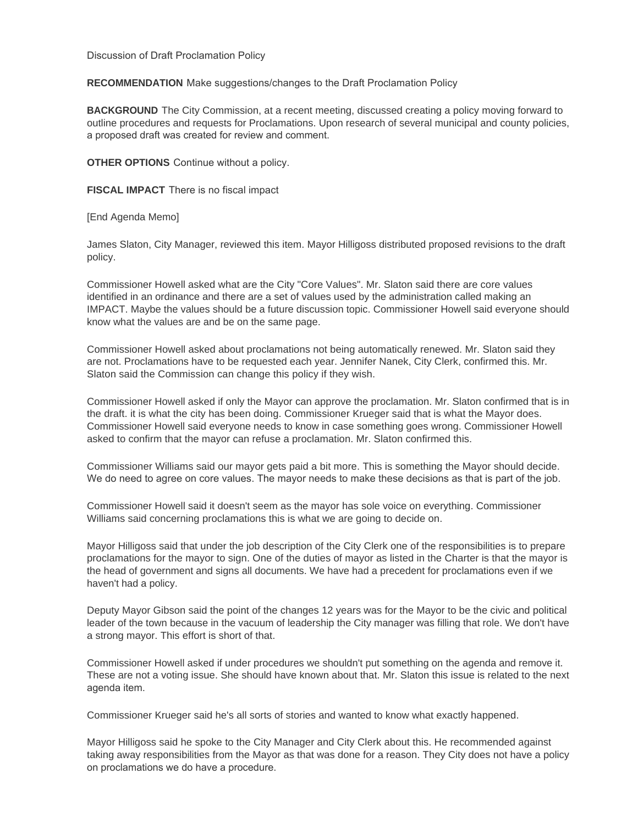Discussion of Draft Proclamation Policy

**RECOMMENDATION** Make suggestions/changes to the Draft Proclamation Policy

**BACKGROUND** The City Commission, at a recent meeting, discussed creating a policy moving forward to outline procedures and requests for Proclamations. Upon research of several municipal and county policies, a proposed draft was created for review and comment.

**OTHER OPTIONS** Continue without a policy.

**FISCAL IMPACT** There is no fiscal impact

[End Agenda Memo]

James Slaton, City Manager, reviewed this item. Mayor Hilligoss distributed proposed revisions to the draft policy.

Commissioner Howell asked what are the City "Core Values". Mr. Slaton said there are core values identified in an ordinance and there are a set of values used by the administration called making an IMPACT. Maybe the values should be a future discussion topic. Commissioner Howell said everyone should know what the values are and be on the same page.

Commissioner Howell asked about proclamations not being automatically renewed. Mr. Slaton said they are not. Proclamations have to be requested each year. Jennifer Nanek, City Clerk, confirmed this. Mr. Slaton said the Commission can change this policy if they wish.

Commissioner Howell asked if only the Mayor can approve the proclamation. Mr. Slaton confirmed that is in the draft. it is what the city has been doing. Commissioner Krueger said that is what the Mayor does. Commissioner Howell said everyone needs to know in case something goes wrong. Commissioner Howell asked to confirm that the mayor can refuse a proclamation. Mr. Slaton confirmed this.

Commissioner Williams said our mayor gets paid a bit more. This is something the Mayor should decide. We do need to agree on core values. The mayor needs to make these decisions as that is part of the job.

Commissioner Howell said it doesn't seem as the mayor has sole voice on everything. Commissioner Williams said concerning proclamations this is what we are going to decide on.

Mayor Hilligoss said that under the job description of the City Clerk one of the responsibilities is to prepare proclamations for the mayor to sign. One of the duties of mayor as listed in the Charter is that the mayor is the head of government and signs all documents. We have had a precedent for proclamations even if we haven't had a policy.

Deputy Mayor Gibson said the point of the changes 12 years was for the Mayor to be the civic and political leader of the town because in the vacuum of leadership the City manager was filling that role. We don't have a strong mayor. This effort is short of that.

Commissioner Howell asked if under procedures we shouldn't put something on the agenda and remove it. These are not a voting issue. She should have known about that. Mr. Slaton this issue is related to the next agenda item.

Commissioner Krueger said he's all sorts of stories and wanted to know what exactly happened.

Mayor Hilligoss said he spoke to the City Manager and City Clerk about this. He recommended against taking away responsibilities from the Mayor as that was done for a reason. They City does not have a policy on proclamations we do have a procedure.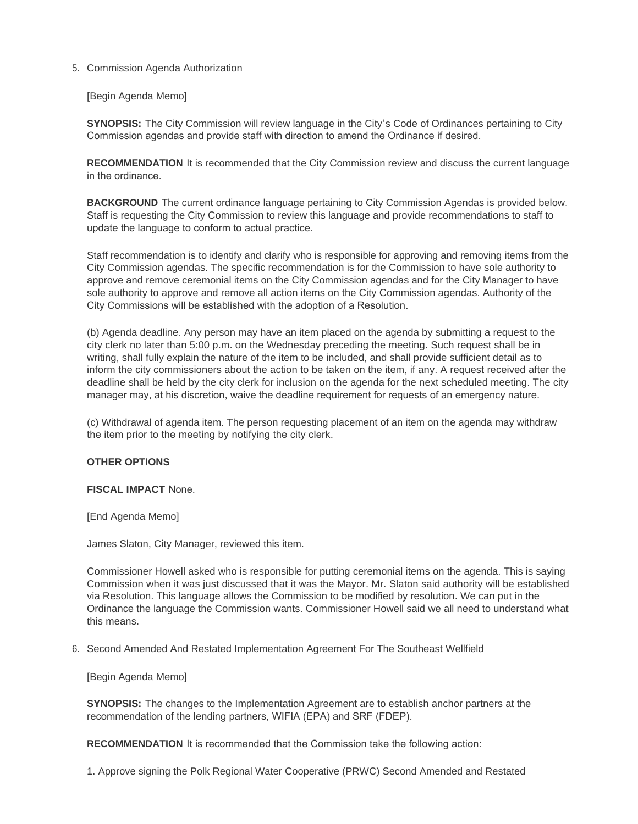## 5. Commission Agenda Authorization

[Begin Agenda Memo]

**SYNOPSIS:** The City Commission will review language in the City's Code of Ordinances pertaining to City Commission agendas and provide staff with direction to amend the Ordinance if desired.

**RECOMMENDATION** It is recommended that the City Commission review and discuss the current language in the ordinance.

**BACKGROUND** The current ordinance language pertaining to City Commission Agendas is provided below. Staff is requesting the City Commission to review this language and provide recommendations to staff to update the language to conform to actual practice.

Staff recommendation is to identify and clarify who is responsible for approving and removing items from the City Commission agendas. The specific recommendation is for the Commission to have sole authority to approve and remove ceremonial items on the City Commission agendas and for the City Manager to have sole authority to approve and remove all action items on the City Commission agendas. Authority of the City Commissions will be established with the adoption of a Resolution.

(b) Agenda deadline. Any person may have an item placed on the agenda by submitting a request to the city clerk no later than 5:00 p.m. on the Wednesday preceding the meeting. Such request shall be in writing, shall fully explain the nature of the item to be included, and shall provide sufficient detail as to inform the city commissioners about the action to be taken on the item, if any. A request received after the deadline shall be held by the city clerk for inclusion on the agenda for the next scheduled meeting. The city manager may, at his discretion, waive the deadline requirement for requests of an emergency nature.

(c) Withdrawal of agenda item. The person requesting placement of an item on the agenda may withdraw the item prior to the meeting by notifying the city clerk.

## **OTHER OPTIONS**

#### **FISCAL IMPACT** None.

[End Agenda Memo]

James Slaton, City Manager, reviewed this item.

Commissioner Howell asked who is responsible for putting ceremonial items on the agenda. This is saying Commission when it was just discussed that it was the Mayor. Mr. Slaton said authority will be established via Resolution. This language allows the Commission to be modified by resolution. We can put in the Ordinance the language the Commission wants. Commissioner Howell said we all need to understand what this means.

6. Second Amended And Restated Implementation Agreement For The Southeast Wellfield

[Begin Agenda Memo]

**SYNOPSIS:** The changes to the Implementation Agreement are to establish anchor partners at the recommendation of the lending partners, WIFIA (EPA) and SRF (FDEP).

**RECOMMENDATION** It is recommended that the Commission take the following action:

1. Approve signing the Polk Regional Water Cooperative (PRWC) Second Amended and Restated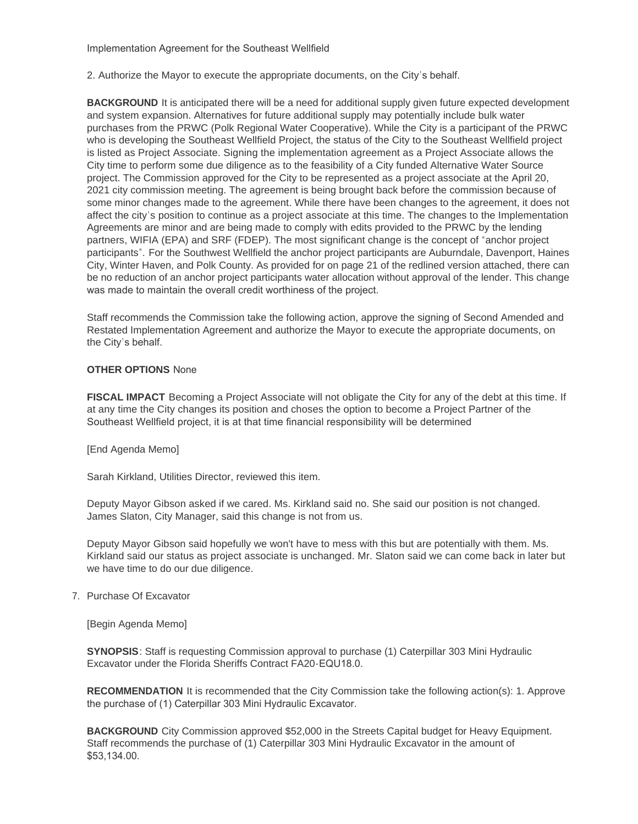Implementation Agreement for the Southeast Wellfield

2. Authorize the Mayor to execute the appropriate documents, on the City's behalf.

**BACKGROUND** It is anticipated there will be a need for additional supply given future expected development and system expansion. Alternatives for future additional supply may potentially include bulk water purchases from the PRWC (Polk Regional Water Cooperative). While the City is a participant of the PRWC who is developing the Southeast Wellfield Project, the status of the City to the Southeast Wellfield project is listed as Project Associate. Signing the implementation agreement as a Project Associate allows the City time to perform some due diligence as to the feasibility of a City funded Alternative Water Source project. The Commission approved for the City to be represented as a project associate at the April 20, 2021 city commission meeting. The agreement is being brought back before the commission because of some minor changes made to the agreement. While there have been changes to the agreement, it does not affect the city's position to continue as a project associate at this time. The changes to the Implementation Agreements are minor and are being made to comply with edits provided to the PRWC by the lending partners, WIFIA (EPA) and SRF (FDEP). The most significant change is the concept of "anchor project participants". For the Southwest Wellfield the anchor project participants are Auburndale, Davenport, Haines City, Winter Haven, and Polk County. As provided for on page 21 of the redlined version attached, there can be no reduction of an anchor project participants water allocation without approval of the lender. This change was made to maintain the overall credit worthiness of the project.

Staff recommends the Commission take the following action, approve the signing of Second Amended and Restated Implementation Agreement and authorize the Mayor to execute the appropriate documents, on the City's behalf.

#### **OTHER OPTIONS** None

**FISCAL IMPACT** Becoming a Project Associate will not obligate the City for any of the debt at this time. If at any time the City changes its position and choses the option to become a Project Partner of the Southeast Wellfield project, it is at that time financial responsibility will be determined

[End Agenda Memo]

Sarah Kirkland, Utilities Director, reviewed this item.

Deputy Mayor Gibson asked if we cared. Ms. Kirkland said no. She said our position is not changed. James Slaton, City Manager, said this change is not from us.

Deputy Mayor Gibson said hopefully we won't have to mess with this but are potentially with them. Ms. Kirkland said our status as project associate is unchanged. Mr. Slaton said we can come back in later but we have time to do our due diligence.

## 7. Purchase Of Excavator

[Begin Agenda Memo]

**SYNOPSIS**: Staff is requesting Commission approval to purchase (1) Caterpillar 303 Mini Hydraulic Excavator under the Florida Sheriffs Contract FA20-EQU18.0.

**RECOMMENDATION** It is recommended that the City Commission take the following action(s): 1. Approve the purchase of (1) Caterpillar 303 Mini Hydraulic Excavator.

**BACKGROUND** City Commission approved \$52,000 in the Streets Capital budget for Heavy Equipment. Staff recommends the purchase of (1) Caterpillar 303 Mini Hydraulic Excavator in the amount of \$53,134.00.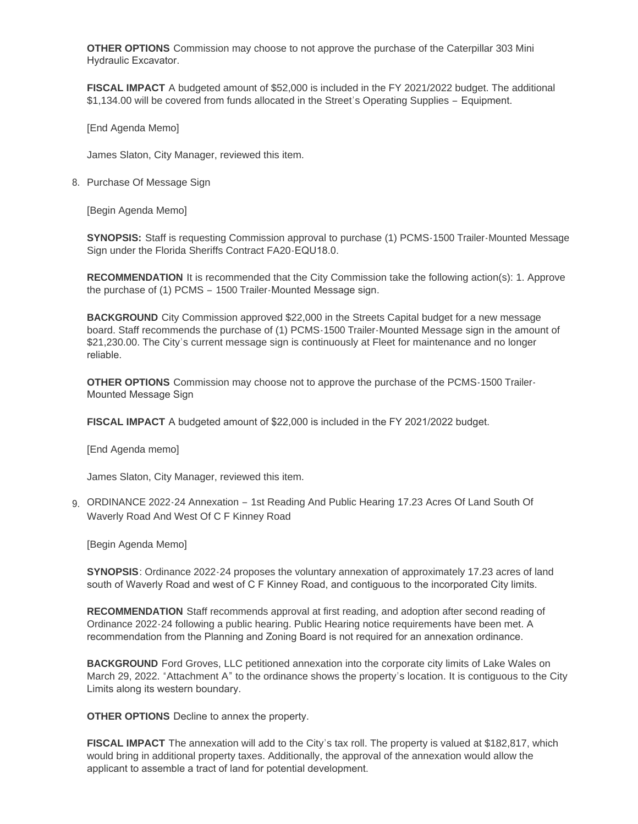**OTHER OPTIONS** Commission may choose to not approve the purchase of the Caterpillar 303 Mini Hydraulic Excavator.

**FISCAL IMPACT** A budgeted amount of \$52,000 is included in the FY 2021/2022 budget. The additional \$1,134.00 will be covered from funds allocated in the Street's Operating Supplies – Equipment.

[End Agenda Memo]

James Slaton, City Manager, reviewed this item.

8. Purchase Of Message Sign

[Begin Agenda Memo]

**SYNOPSIS:** Staff is requesting Commission approval to purchase (1) PCMS-1500 Trailer-Mounted Message Sign under the Florida Sheriffs Contract FA20-EQU18.0.

**RECOMMENDATION** It is recommended that the City Commission take the following action(s): 1. Approve the purchase of (1) PCMS – 1500 Trailer-Mounted Message sign.

**BACKGROUND** City Commission approved \$22,000 in the Streets Capital budget for a new message board. Staff recommends the purchase of (1) PCMS-1500 Trailer-Mounted Message sign in the amount of \$21,230.00. The City's current message sign is continuously at Fleet for maintenance and no longer reliable.

**OTHER OPTIONS** Commission may choose not to approve the purchase of the PCMS-1500 Trailer-Mounted Message Sign

**FISCAL IMPACT** A budgeted amount of \$22,000 is included in the FY 2021/2022 budget.

[End Agenda memo]

James Slaton, City Manager, reviewed this item.

9. ORDINANCE 2022-24 Annexation - 1st Reading And Public Hearing 17.23 Acres Of Land South Of Waverly Road And West Of C F Kinney Road

[Begin Agenda Memo]

**SYNOPSIS**: Ordinance 2022-24 proposes the voluntary annexation of approximately 17.23 acres of land south of Waverly Road and west of C F Kinney Road, and contiguous to the incorporated City limits.

**RECOMMENDATION** Staff recommends approval at first reading, and adoption after second reading of Ordinance 2022-24 following a public hearing. Public Hearing notice requirements have been met. A recommendation from the Planning and Zoning Board is not required for an annexation ordinance.

**BACKGROUND** Ford Groves, LLC petitioned annexation into the corporate city limits of Lake Wales on March 29, 2022. "Attachment A" to the ordinance shows the property's location. It is contiguous to the City Limits along its western boundary.

**OTHER OPTIONS** Decline to annex the property.

**FISCAL IMPACT** The annexation will add to the City's tax roll. The property is valued at \$182,817, which would bring in additional property taxes. Additionally, the approval of the annexation would allow the applicant to assemble a tract of land for potential development.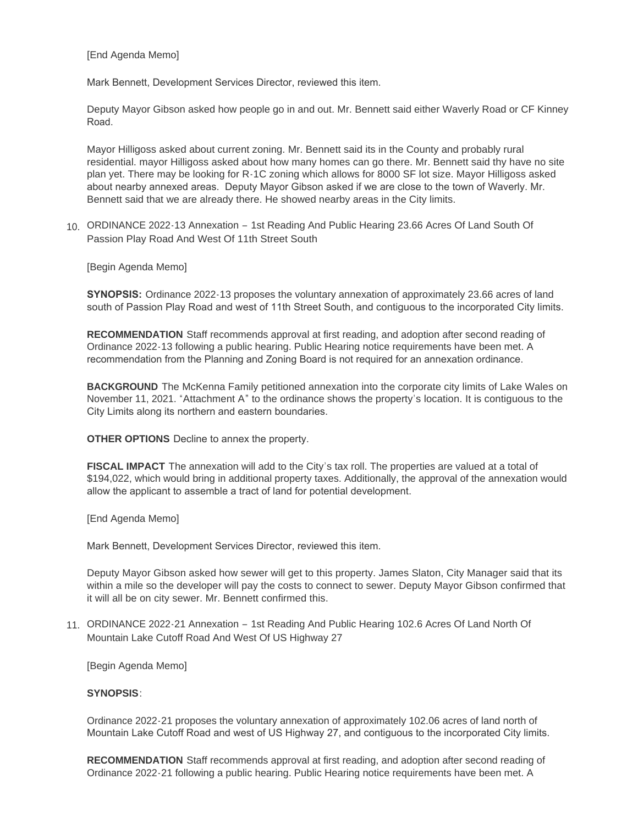[End Agenda Memo]

Mark Bennett, Development Services Director, reviewed this item.

Deputy Mayor Gibson asked how people go in and out. Mr. Bennett said either Waverly Road or CF Kinney Road.

Mayor Hilligoss asked about current zoning. Mr. Bennett said its in the County and probably rural residential. mayor Hilligoss asked about how many homes can go there. Mr. Bennett said thy have no site plan yet. There may be looking for R-1C zoning which allows for 8000 SF lot size. Mayor Hilligoss asked about nearby annexed areas. Deputy Mayor Gibson asked if we are close to the town of Waverly. Mr. Bennett said that we are already there. He showed nearby areas in the City limits.

ORDINANCE 2022-13 Annexation – 1st Reading And Public Hearing 23.66 Acres Of Land South Of 10. Passion Play Road And West Of 11th Street South

[Begin Agenda Memo]

**SYNOPSIS:** Ordinance 2022-13 proposes the voluntary annexation of approximately 23.66 acres of land south of Passion Play Road and west of 11th Street South, and contiguous to the incorporated City limits.

**RECOMMENDATION** Staff recommends approval at first reading, and adoption after second reading of Ordinance 2022-13 following a public hearing. Public Hearing notice requirements have been met. A recommendation from the Planning and Zoning Board is not required for an annexation ordinance.

**BACKGROUND** The McKenna Family petitioned annexation into the corporate city limits of Lake Wales on November 11, 2021. "Attachment A" to the ordinance shows the property's location. It is contiguous to the City Limits along its northern and eastern boundaries.

**OTHER OPTIONS** Decline to annex the property.

**FISCAL IMPACT** The annexation will add to the City's tax roll. The properties are valued at a total of \$194,022, which would bring in additional property taxes. Additionally, the approval of the annexation would allow the applicant to assemble a tract of land for potential development.

[End Agenda Memo]

Mark Bennett, Development Services Director, reviewed this item.

Deputy Mayor Gibson asked how sewer will get to this property. James Slaton, City Manager said that its within a mile so the developer will pay the costs to connect to sewer. Deputy Mayor Gibson confirmed that it will all be on city sewer. Mr. Bennett confirmed this.

ORDINANCE 2022-21 Annexation – 1st Reading And Public Hearing 102.6 Acres Of Land North Of 11. Mountain Lake Cutoff Road And West Of US Highway 27

[Begin Agenda Memo]

#### **SYNOPSIS**:

Ordinance 2022-21 proposes the voluntary annexation of approximately 102.06 acres of land north of Mountain Lake Cutoff Road and west of US Highway 27, and contiguous to the incorporated City limits.

**RECOMMENDATION** Staff recommends approval at first reading, and adoption after second reading of Ordinance 2022-21 following a public hearing. Public Hearing notice requirements have been met. A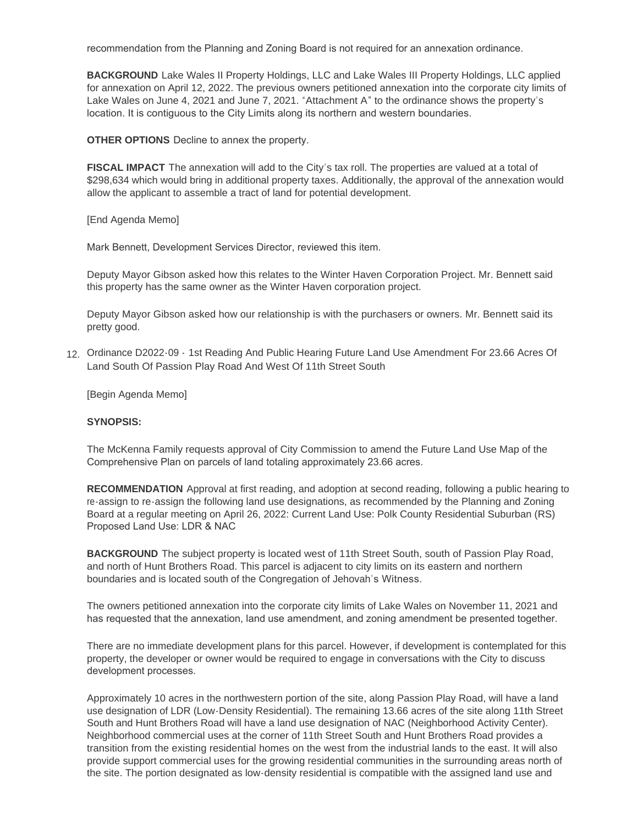recommendation from the Planning and Zoning Board is not required for an annexation ordinance.

**BACKGROUND** Lake Wales II Property Holdings, LLC and Lake Wales III Property Holdings, LLC applied for annexation on April 12, 2022. The previous owners petitioned annexation into the corporate city limits of Lake Wales on June 4, 2021 and June 7, 2021. "Attachment A" to the ordinance shows the property's location. It is contiguous to the City Limits along its northern and western boundaries.

**OTHER OPTIONS** Decline to annex the property.

**FISCAL IMPACT** The annexation will add to the City's tax roll. The properties are valued at a total of \$298,634 which would bring in additional property taxes. Additionally, the approval of the annexation would allow the applicant to assemble a tract of land for potential development.

[End Agenda Memo]

Mark Bennett, Development Services Director, reviewed this item.

Deputy Mayor Gibson asked how this relates to the Winter Haven Corporation Project. Mr. Bennett said this property has the same owner as the Winter Haven corporation project.

Deputy Mayor Gibson asked how our relationship is with the purchasers or owners. Mr. Bennett said its pretty good.

Ordinance D2022-09 - 1st Reading And Public Hearing Future Land Use Amendment For 23.66 Acres Of 12. Land South Of Passion Play Road And West Of 11th Street South

[Begin Agenda Memo]

#### **SYNOPSIS:**

The McKenna Family requests approval of City Commission to amend the Future Land Use Map of the Comprehensive Plan on parcels of land totaling approximately 23.66 acres.

**RECOMMENDATION** Approval at first reading, and adoption at second reading, following a public hearing to re-assign to re-assign the following land use designations, as recommended by the Planning and Zoning Board at a regular meeting on April 26, 2022: Current Land Use: Polk County Residential Suburban (RS) Proposed Land Use: LDR & NAC

**BACKGROUND** The subject property is located west of 11th Street South, south of Passion Play Road, and north of Hunt Brothers Road. This parcel is adjacent to city limits on its eastern and northern boundaries and is located south of the Congregation of Jehovah's Witness.

The owners petitioned annexation into the corporate city limits of Lake Wales on November 11, 2021 and has requested that the annexation, land use amendment, and zoning amendment be presented together.

There are no immediate development plans for this parcel. However, if development is contemplated for this property, the developer or owner would be required to engage in conversations with the City to discuss development processes.

Approximately 10 acres in the northwestern portion of the site, along Passion Play Road, will have a land use designation of LDR (Low-Density Residential). The remaining 13.66 acres of the site along 11th Street South and Hunt Brothers Road will have a land use designation of NAC (Neighborhood Activity Center). Neighborhood commercial uses at the corner of 11th Street South and Hunt Brothers Road provides a transition from the existing residential homes on the west from the industrial lands to the east. It will also provide support commercial uses for the growing residential communities in the surrounding areas north of the site. The portion designated as low-density residential is compatible with the assigned land use and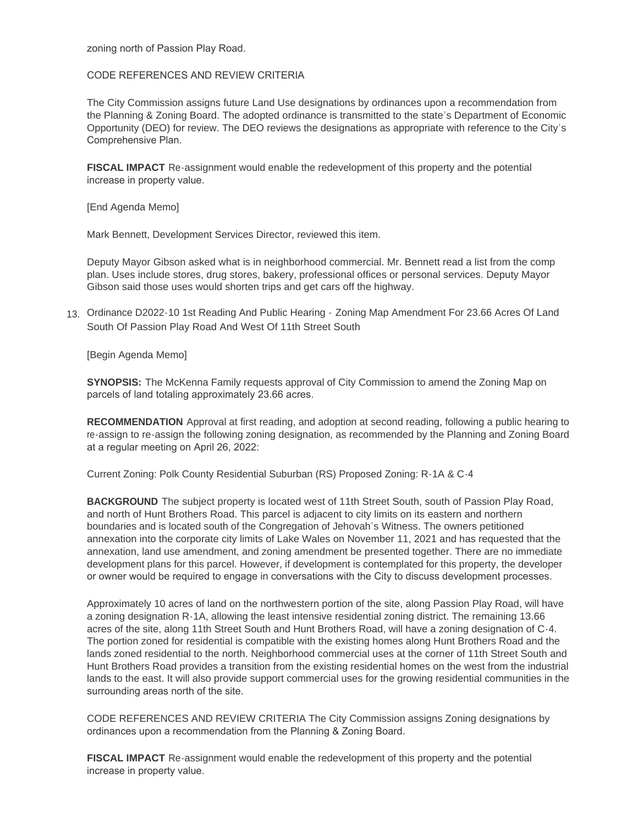zoning north of Passion Play Road.

CODE REFERENCES AND REVIEW CRITERIA

The City Commission assigns future Land Use designations by ordinances upon a recommendation from the Planning & Zoning Board. The adopted ordinance is transmitted to the state's Department of Economic Opportunity (DEO) for review. The DEO reviews the designations as appropriate with reference to the City's Comprehensive Plan.

**FISCAL IMPACT** Re-assignment would enable the redevelopment of this property and the potential increase in property value.

[End Agenda Memo]

Mark Bennett, Development Services Director, reviewed this item.

Deputy Mayor Gibson asked what is in neighborhood commercial. Mr. Bennett read a list from the comp plan. Uses include stores, drug stores, bakery, professional offices or personal services. Deputy Mayor Gibson said those uses would shorten trips and get cars off the highway.

Ordinance D2022-10 1st Reading And Public Hearing - Zoning Map Amendment For 23.66 Acres Of Land 13. South Of Passion Play Road And West Of 11th Street South

[Begin Agenda Memo]

**SYNOPSIS:** The McKenna Family requests approval of City Commission to amend the Zoning Map on parcels of land totaling approximately 23.66 acres.

**RECOMMENDATION** Approval at first reading, and adoption at second reading, following a public hearing to re-assign to re-assign the following zoning designation, as recommended by the Planning and Zoning Board at a regular meeting on April 26, 2022:

Current Zoning: Polk County Residential Suburban (RS) Proposed Zoning: R-1A & C-4

**BACKGROUND** The subject property is located west of 11th Street South, south of Passion Play Road, and north of Hunt Brothers Road. This parcel is adjacent to city limits on its eastern and northern boundaries and is located south of the Congregation of Jehovah's Witness. The owners petitioned annexation into the corporate city limits of Lake Wales on November 11, 2021 and has requested that the annexation, land use amendment, and zoning amendment be presented together. There are no immediate development plans for this parcel. However, if development is contemplated for this property, the developer or owner would be required to engage in conversations with the City to discuss development processes.

Approximately 10 acres of land on the northwestern portion of the site, along Passion Play Road, will have a zoning designation R-1A, allowing the least intensive residential zoning district. The remaining 13.66 acres of the site, along 11th Street South and Hunt Brothers Road, will have a zoning designation of C-4. The portion zoned for residential is compatible with the existing homes along Hunt Brothers Road and the lands zoned residential to the north. Neighborhood commercial uses at the corner of 11th Street South and Hunt Brothers Road provides a transition from the existing residential homes on the west from the industrial lands to the east. It will also provide support commercial uses for the growing residential communities in the surrounding areas north of the site.

CODE REFERENCES AND REVIEW CRITERIA The City Commission assigns Zoning designations by ordinances upon a recommendation from the Planning & Zoning Board.

**FISCAL IMPACT** Re-assignment would enable the redevelopment of this property and the potential increase in property value.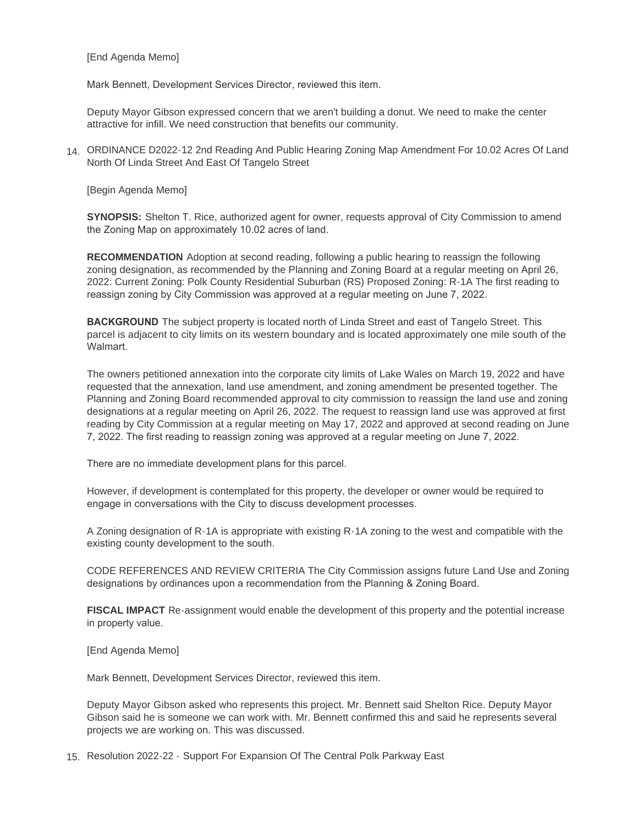[End Agenda Memo]

Mark Bennett, Development Services Director, reviewed this item.

Deputy Mayor Gibson expressed concern that we aren't building a donut. We need to make the center attractive for infill. We need construction that benefits our community.

ORDINANCE D2022-12 2nd Reading And Public Hearing Zoning Map Amendment For 10.02 Acres Of Land 14. North Of Linda Street And East Of Tangelo Street

[Begin Agenda Memo]

**SYNOPSIS:** Shelton T. Rice, authorized agent for owner, requests approval of City Commission to amend the Zoning Map on approximately 10.02 acres of land.

**RECOMMENDATION** Adoption at second reading, following a public hearing to reassign the following zoning designation, as recommended by the Planning and Zoning Board at a regular meeting on April 26, 2022: Current Zoning: Polk County Residential Suburban (RS) Proposed Zoning: R-1A The first reading to reassign zoning by City Commission was approved at a regular meeting on June 7, 2022.

**BACKGROUND** The subject property is located north of Linda Street and east of Tangelo Street. This parcel is adjacent to city limits on its western boundary and is located approximately one mile south of the Walmart.

The owners petitioned annexation into the corporate city limits of Lake Wales on March 19, 2022 and have requested that the annexation, land use amendment, and zoning amendment be presented together. The Planning and Zoning Board recommended approval to city commission to reassign the land use and zoning designations at a regular meeting on April 26, 2022. The request to reassign land use was approved at first reading by City Commission at a regular meeting on May 17, 2022 and approved at second reading on June 7, 2022. The first reading to reassign zoning was approved at a regular meeting on June 7, 2022.

There are no immediate development plans for this parcel.

However, if development is contemplated for this property, the developer or owner would be required to engage in conversations with the City to discuss development processes.

A Zoning designation of R-1A is appropriate with existing R-1A zoning to the west and compatible with the existing county development to the south.

CODE REFERENCES AND REVIEW CRITERIA The City Commission assigns future Land Use and Zoning designations by ordinances upon a recommendation from the Planning & Zoning Board.

**FISCAL IMPACT** Re-assignment would enable the development of this property and the potential increase in property value.

[End Agenda Memo]

Mark Bennett, Development Services Director, reviewed this item.

Deputy Mayor Gibson asked who represents this project. Mr. Bennett said Shelton Rice. Deputy Mayor Gibson said he is someone we can work with. Mr. Bennett confirmed this and said he represents several projects we are working on. This was discussed.

15. Resolution 2022-22 - Support For Expansion Of The Central Polk Parkway East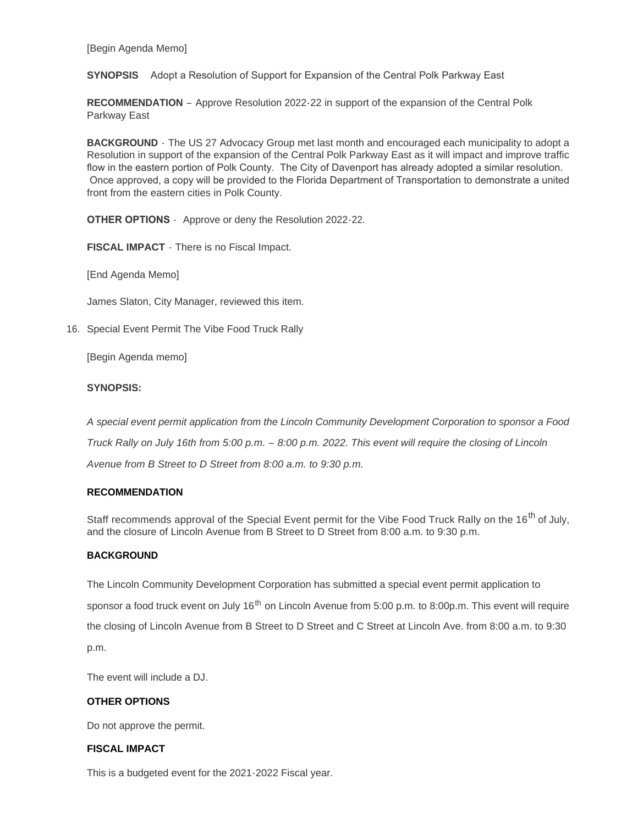[Begin Agenda Memo]

**SYNOPSIS** Adopt a Resolution of Support for Expansion of the Central Polk Parkway East

**RECOMMENDATION** – Approve Resolution 2022-22 in support of the expansion of the Central Polk Parkway East

**BACKGROUND** - The US 27 Advocacy Group met last month and encouraged each municipality to adopt a Resolution in support of the expansion of the Central Polk Parkway East as it will impact and improve traffic flow in the eastern portion of Polk County. The City of Davenport has already adopted a similar resolution. Once approved, a copy will be provided to the Florida Department of Transportation to demonstrate a united front from the eastern cities in Polk County.

**OTHER OPTIONS** - Approve or deny the Resolution 2022-22.

**FISCAL IMPACT** - There is no Fiscal Impact.

[End Agenda Memo]

James Slaton, City Manager, reviewed this item.

16. Special Event Permit The Vibe Food Truck Rally

[Begin Agenda memo]

#### **SYNOPSIS:**

*A special event permit application from the Lincoln Community Development Corporation to sponsor a Food Truck Rally on July 16th from 5:00 p.m. – 8:00 p.m. 2022. This event will require the closing of Lincoln Avenue from B Street to D Street from 8:00 a.m. to 9:30 p.m.*

#### **RECOMMENDATION**

Staff recommends approval of the Special Event permit for the Vibe Food Truck Rally on the 16<sup>th</sup> of July, and the closure of Lincoln Avenue from B Street to D Street from 8:00 a.m. to 9:30 p.m.

#### **BACKGROUND**

The Lincoln Community Development Corporation has submitted a special event permit application to sponsor a food truck event on July 16<sup>th</sup> on Lincoln Avenue from 5:00 p.m. to 8:00p.m. This event will require the closing of Lincoln Avenue from B Street to D Street and C Street at Lincoln Ave. from 8:00 a.m. to 9:30 p.m.

The event will include a DJ.

#### **OTHER OPTIONS**

Do not approve the permit.

#### **FISCAL IMPACT**

This is a budgeted event for the 2021-2022 Fiscal year.